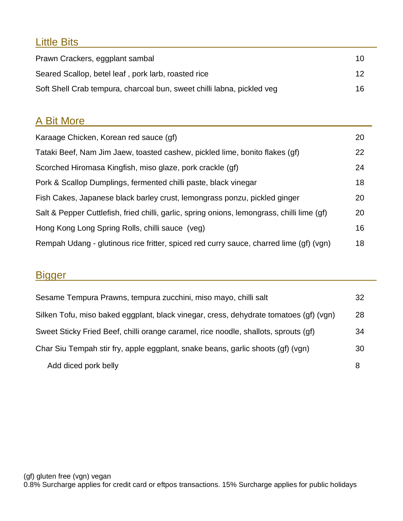# Little Bits\_\_\_\_\_\_\_\_\_\_\_\_\_\_\_\_\_\_\_\_\_\_\_\_\_\_\_\_\_\_\_\_\_\_\_\_\_\_\_\_\_\_\_\_\_\_\_\_\_\_\_

| Prawn Crackers, eggplant sambal                                        | 10 |
|------------------------------------------------------------------------|----|
| Seared Scallop, betel leaf, pork larb, roasted rice                    | 12 |
| Soft Shell Crab tempura, charcoal bun, sweet chilli labna, pickled veg | 16 |

## A Bit More

| Karaage Chicken, Korean red sauce (gf)                                                      | 20 |
|---------------------------------------------------------------------------------------------|----|
| Tataki Beef, Nam Jim Jaew, toasted cashew, pickled lime, bonito flakes (gf)                 | 22 |
| Scorched Hiromasa Kingfish, miso glaze, pork crackle (gf)                                   | 24 |
| Pork & Scallop Dumplings, fermented chilli paste, black vinegar                             | 18 |
| Fish Cakes, Japanese black barley crust, lemongrass ponzu, pickled ginger                   | 20 |
| Salt & Pepper Cuttlefish, fried chilli, garlic, spring onions, lemongrass, chilli lime (gf) | 20 |
| Hong Kong Long Spring Rolls, chilli sauce (veg)                                             | 16 |
| Rempah Udang - glutinous rice fritter, spiced red curry sauce, charred lime (gf) (vgn)      | 18 |

## Bigger\_\_\_\_\_\_\_\_\_\_\_\_\_\_\_\_\_\_\_\_\_\_\_\_\_\_\_\_\_\_\_\_\_\_\_\_\_\_\_\_\_\_\_\_\_\_\_\_\_\_\_\_\_

| Sesame Tempura Prawns, tempura zucchini, miso mayo, chilli salt                       | 32 |
|---------------------------------------------------------------------------------------|----|
| Silken Tofu, miso baked eggplant, black vinegar, cress, dehydrate tomatoes (gf) (vgn) | 28 |
| Sweet Sticky Fried Beef, chilli orange caramel, rice noodle, shallots, sprouts (gf)   | 34 |
| Char Siu Tempah stir fry, apple eggplant, snake beans, garlic shoots (gf) (vgn)       | 30 |
| Add diced pork belly                                                                  | 8  |